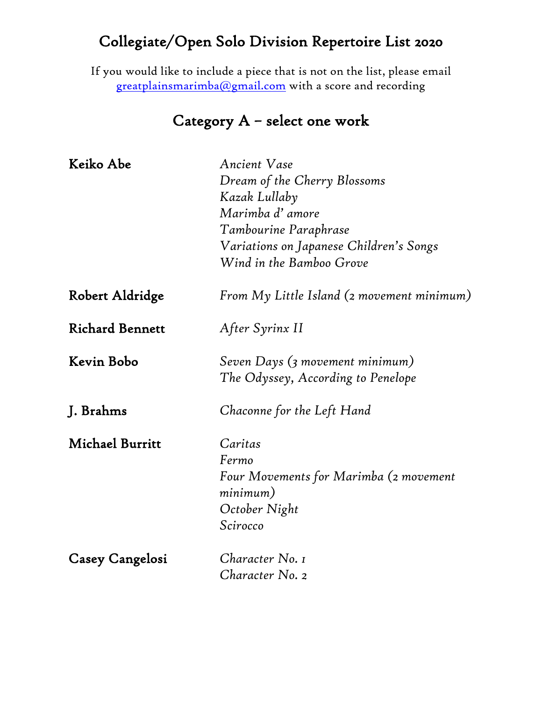If you would like to include a piece that is not on the list, please email [greatplainsmarimba@gmail.com](mailto:greatplainsmarimba@gmail.com) with a score and recording

### Category A – select one work

| Keiko Abe              | <b>Ancient Vase</b>                                                   |
|------------------------|-----------------------------------------------------------------------|
|                        | Dream of the Cherry Blossoms                                          |
|                        | Kazak Lullaby                                                         |
|                        | Marimba d'amore                                                       |
|                        | Tambourine Paraphrase                                                 |
|                        | Variations on Japanese Children's Songs                               |
|                        | Wind in the Bamboo Grove                                              |
| Robert Aldridge        | From $M_{\mathcal{V}}$ Little Island (2 movement minimum)             |
| <b>Richard Bennett</b> | After Syrinx II                                                       |
| Kevin Bobo             | Seven Days (3 movement minimum)<br>The Odyssey, According to Penelope |
|                        |                                                                       |
| J. Brahms              | Chaconne for the Left Hand                                            |
| <b>Michael Burritt</b> | Caritas                                                               |
|                        | Fermo                                                                 |
|                        | Four Movements for Marimba (2 movement<br>minimum)                    |
|                        | October Night                                                         |
|                        | Scirocco                                                              |
| Casey Cangelosi        | Character No. 1                                                       |
|                        | Character No. 2                                                       |
|                        |                                                                       |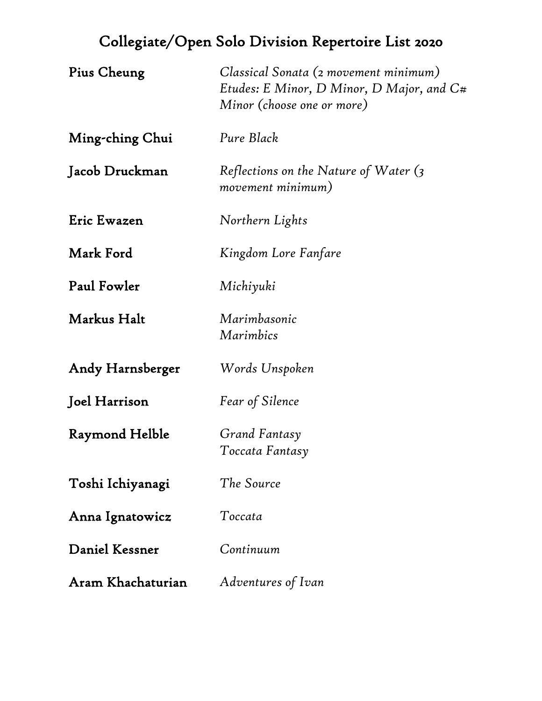| Pius Cheung       | Classical Sonata (2 movement minimum)<br>Etudes: E Minor, D Minor, D Major, and $C#$<br>Minor (choose one or more) |
|-------------------|--------------------------------------------------------------------------------------------------------------------|
| Ming-ching Chui   | Pure Black                                                                                                         |
| Jacob Druckman    | Reflections on the Nature of Water $\zeta$<br>movement minimum)                                                    |
| Eric Ewazen       | Northern Lights                                                                                                    |
| Mark Ford         | Kingdom Lore Fanfare                                                                                               |
| Paul Fowler       | Michiyuki                                                                                                          |
| Markus Halt       | Marimbasonic<br>Marimbics                                                                                          |
| Andy Harnsberger  | Words Unspoken                                                                                                     |
| Joel Harrison     | <b>Fear of Silence</b>                                                                                             |
| Raymond Helble    | Grand Fantasy<br>Toccata Fantasy                                                                                   |
| Toshi Ichiyanagi  | The Source                                                                                                         |
| Anna Ignatowicz   | Toccata                                                                                                            |
| Daniel Kessner    | Continuum                                                                                                          |
| Aram Khachaturian | Adventures of Ivan                                                                                                 |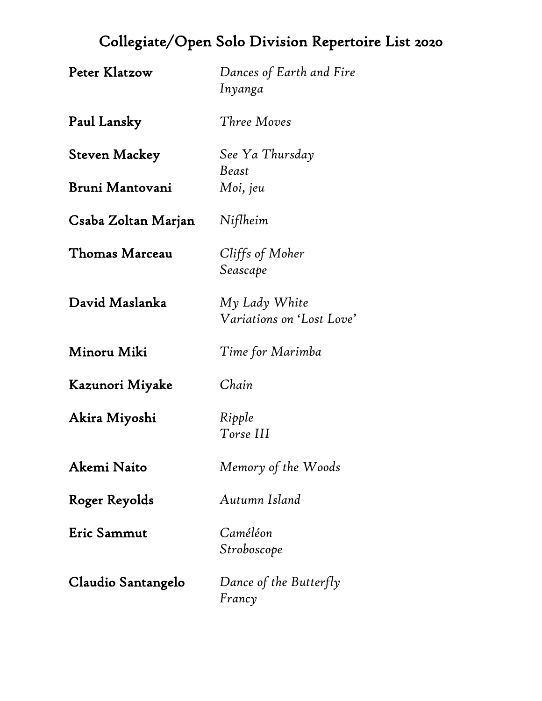| Peter Klatzow       | Dances of Earth and Fire<br>Inyanga        |
|---------------------|--------------------------------------------|
| Paul Lansky         | Three Moves                                |
| Steven Mackey       | See Ya Thursday<br><b>Beast</b>            |
| Bruni Mantovani     | Moi, jeu                                   |
| Csaba Zoltan Marjan | Niflheim                                   |
| Thomas Marceau      | Cliffs of Moher<br>Seascape                |
| David Maslanka      | My Lady White<br>Variations on 'Lost Love' |
| Minoru Miki         | Time for Marimba                           |
| Kazunori Miyake     | Chain                                      |
| Akira Miyoshi       | Ripple<br>Torse III                        |
| Akemi Naito         | Memory of the Woods                        |
| Roger Reyolds       | Autumn Island                              |
| Eric Sammut         | Caméléon<br>Stroboscope                    |
| Claudio Santangelo  | Dance of the Butterfly<br>Francy           |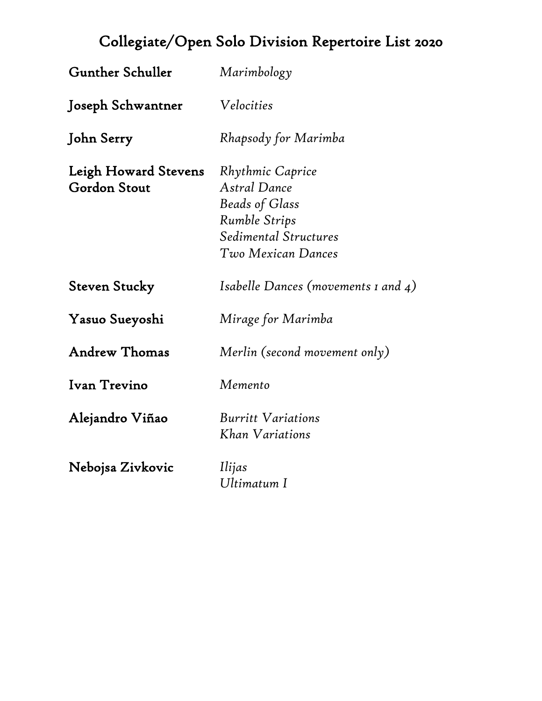| <b>Gunther Schuller</b>                     | Marimbology                                                                                                                      |
|---------------------------------------------|----------------------------------------------------------------------------------------------------------------------------------|
| Joseph Schwantner                           | Velocities                                                                                                                       |
| John Serry                                  | Rhapsody for Marimba                                                                                                             |
| Leigh Howard Stevens<br><b>Gordon Stout</b> | Rhythmic Caprice<br>Astral Dance<br><b>Beads of Glass</b><br><b>Rumble Strips</b><br>Sedimental Structures<br>Two Mexican Dances |
| <b>Steven Stucky</b>                        | Isabelle Dances (movements $\iota$ and $\iota$ )                                                                                 |
| Yasuo Sueyoshi                              | Mirage for Marimba                                                                                                               |
| <b>Andrew Thomas</b>                        | Merlin (second movement only)                                                                                                    |
| Ivan Trevino                                | Memento                                                                                                                          |
| Alejandro Viñao                             | <b>Burritt Variations</b><br>Khan Variations                                                                                     |
| Nebojsa Zivkovic                            | Ilijas<br>Ultimatum I                                                                                                            |